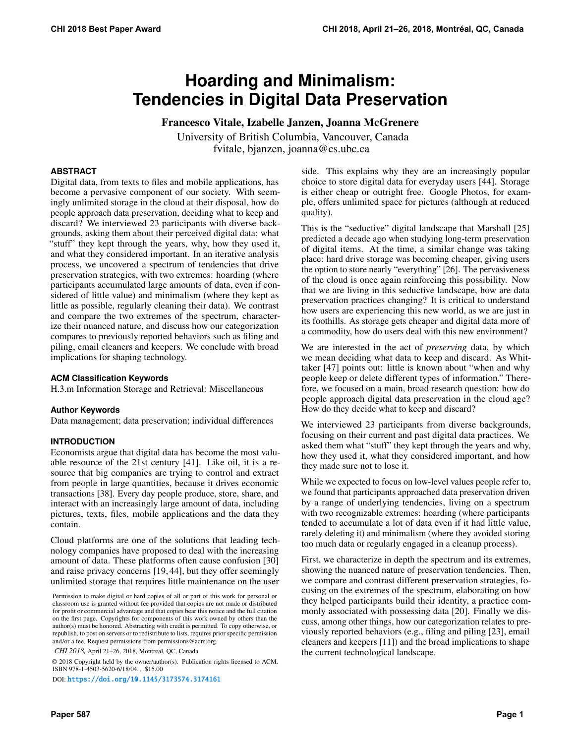# **Hoarding and Minimalism: Tendencies in Digital Data Preservation**

Francesco Vitale, Izabelle Janzen, Joanna McGrenere

University of British Columbia, Vancouver, Canada fvitale, bjanzen, joanna@cs.ubc.ca

## **ABSTRACT**

Digital data, from texts to files and mobile applications, has become a pervasive component of our society. With seemingly unlimited storage in the cloud at their disposal, how do people approach data preservation, deciding what to keep and discard? We interviewed 23 participants with diverse backgrounds, asking them about their perceived digital data: what "stuff" they kept through the years, why, how they used it, and what they considered important. In an iterative analysis process, we uncovered a spectrum of tendencies that drive preservation strategies, with two extremes: hoarding (where participants accumulated large amounts of data, even if considered of little value) and minimalism (where they kept as little as possible, regularly cleaning their data). We contrast and compare the two extremes of the spectrum, characterize their nuanced nature, and discuss how our categorization compares to previously reported behaviors such as filing and piling, email cleaners and keepers. We conclude with broad implications for shaping technology.

#### **ACM Classification Keywords**

H.3.m Information Storage and Retrieval: Miscellaneous

#### **Author Keywords**

Data management; data preservation; individual differences

#### **INTRODUCTION**

Economists argue that digital data has become the most valuable resource of the 21st century [\[41\]](#page-11-0). Like oil, it is a resource that big companies are trying to control and extract from people in large quantities, because it drives economic transactions [\[38\]](#page-11-1). Every day people produce, store, share, and interact with an increasingly large amount of data, including pictures, texts, files, mobile applications and the data they contain.

Cloud platforms are one of the solutions that leading technology companies have proposed to deal with the increasing amount of data. These platforms often cause confusion [\[30\]](#page-10-0) and raise privacy concerns [\[19,](#page-10-1) [44\]](#page-11-2), but they offer seemingly unlimited storage that requires little maintenance on the user

*CHI 2018,* April 21–26, 2018, Montreal, QC, Canada

© 2018 Copyright held by the owner/author(s). Publication rights licensed to ACM. ISBN 978-1-4503-5620-6/18/04. . . \$15.00

DOI: <https://doi.org/10.1145/3173574.3174161>

side. This explains why they are an increasingly popular choice to store digital data for everyday users [\[44\]](#page-11-2). Storage is either cheap or outright free. Google Photos, for example, offers unlimited space for pictures (although at reduced quality).

This is the "seductive" digital landscape that Marshall [\[25\]](#page-10-2) predicted a decade ago when studying long-term preservation of digital items. At the time, a similar change was taking place: hard drive storage was becoming cheaper, giving users the option to store nearly "everything" [\[26\]](#page-10-3). The pervasiveness of the cloud is once again reinforcing this possibility. Now that we are living in this seductive landscape, how are data preservation practices changing? It is critical to understand how users are experiencing this new world, as we are just in its foothills. As storage gets cheaper and digital data more of a commodity, how do users deal with this new environment?

We are interested in the act of *preserving* data, by which we mean deciding what data to keep and discard. As Whittaker [\[47\]](#page-11-3) points out: little is known about "when and why people keep or delete different types of information." Therefore, we focused on a main, broad research question: how do people approach digital data preservation in the cloud age? How do they decide what to keep and discard?

We interviewed 23 participants from diverse backgrounds, focusing on their current and past digital data practices. We asked them what "stuff" they kept through the years and why, how they used it, what they considered important, and how they made sure not to lose it.

While we expected to focus on low-level values people refer to, we found that participants approached data preservation driven by a range of underlying tendencies, living on a spectrum with two recognizable extremes: hoarding (where participants tended to accumulate a lot of data even if it had little value, rarely deleting it) and minimalism (where they avoided storing too much data or regularly engaged in a cleanup process).

First, we characterize in depth the spectrum and its extremes, showing the nuanced nature of preservation tendencies. Then, we compare and contrast different preservation strategies, focusing on the extremes of the spectrum, elaborating on how they helped participants build their identity, a practice commonly associated with possessing data [\[20\]](#page-10-4). Finally we discuss, among other things, how our categorization relates to previously reported behaviors (e.g., filing and piling [\[23\]](#page-10-5), email cleaners and keepers [\[11\]](#page-9-0)) and the broad implications to shape the current technological landscape.

Permission to make digital or hard copies of all or part of this work for personal or classroom use is granted without fee provided that copies are not made or distributed for profit or commercial advantage and that copies bear this notice and the full citation on the first page. Copyrights for components of this work owned by others than the author(s) must be honored. Abstracting with credit is permitted. To copy otherwise, or republish, to post on servers or to redistribute to lists, requires prior specific permission and/or a fee. Request permissions from permissions@acm.org.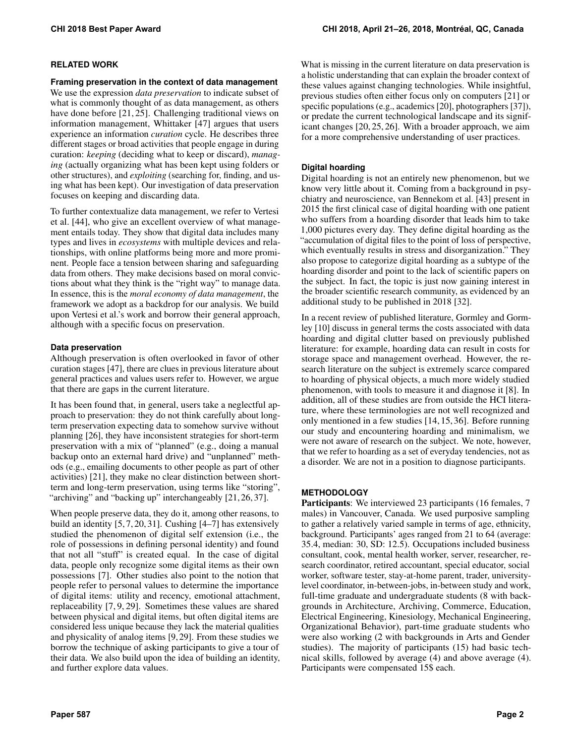## **RELATED WORK**

## **Framing preservation in the context of data management**

We use the expression *data preservation* to indicate subset of what is commonly thought of as data management, as others have done before [\[21,](#page-10-6) [25\]](#page-10-2). Challenging traditional views on information management, Whittaker [\[47\]](#page-11-3) argues that users experience an information *curation* cycle. He describes three different stages or broad activities that people engage in during curation: *keeping* (deciding what to keep or discard), *managing* (actually organizing what has been kept using folders or other structures), and *exploiting* (searching for, finding, and using what has been kept). Our investigation of data preservation focuses on keeping and discarding data.

To further contextualize data management, we refer to Vertesi et al. [\[44\]](#page-11-2), who give an excellent overview of what management entails today. They show that digital data includes many types and lives in *ecosystems* with multiple devices and relationships, with online platforms being more and more prominent. People face a tension between sharing and safeguarding data from others. They make decisions based on moral convictions about what they think is the "right way" to manage data. In essence, this is the *moral economy of data management*, the framework we adopt as a backdrop for our analysis. We build upon Vertesi et al.'s work and borrow their general approach, although with a specific focus on preservation.

#### **Data preservation**

Although preservation is often overlooked in favor of other curation stages [\[47\]](#page-11-3), there are clues in previous literature about general practices and values users refer to. However, we argue that there are gaps in the current literature.

It has been found that, in general, users take a neglectful approach to preservation: they do not think carefully about longterm preservation expecting data to somehow survive without planning [\[26\]](#page-10-3), they have inconsistent strategies for short-term preservation with a mix of "planned" (e.g., doing a manual backup onto an external hard drive) and "unplanned" methods (e.g., emailing documents to other people as part of other activities) [\[21\]](#page-10-6), they make no clear distinction between shortterm and long-term preservation, using terms like "storing", "archiving" and "backing up" interchangeably [\[21,](#page-10-6) [26,](#page-10-3) [37\]](#page-11-4).

When people preserve data, they do it, among other reasons, to build an identity [\[5,](#page-9-1) [7,](#page-9-2) [20,](#page-10-4) [31\]](#page-10-7). Cushing [\[4](#page-9-3)[–7\]](#page-9-2) has extensively studied the phenomenon of digital self extension (i.e., the role of possessions in defining personal identity) and found that not all "stuff" is created equal. In the case of digital data, people only recognize some digital items as their own possessions [\[7\]](#page-9-2). Other studies also point to the notion that people refer to personal values to determine the importance of digital items: utility and recency, emotional attachment, replaceability [\[7,](#page-9-2) [9,](#page-9-4) [29\]](#page-10-8). Sometimes these values are shared between physical and digital items, but often digital items are considered less unique because they lack the material qualities and physicality of analog items [\[9,](#page-9-4) [29\]](#page-10-8). From these studies we borrow the technique of asking participants to give a tour of their data. We also build upon the idea of building an identity, and further explore data values.

What is missing in the current literature on data preservation is a holistic understanding that can explain the broader context of these values against changing technologies. While insightful, previous studies often either focus only on computers [\[21\]](#page-10-6) or specific populations (e.g., academics [\[20\]](#page-10-4), photographers [\[37\]](#page-11-4)), or predate the current technological landscape and its significant changes [\[20,](#page-10-4) [25,](#page-10-2) [26\]](#page-10-3). With a broader approach, we aim for a more comprehensive understanding of user practices.

## **Digital hoarding**

Digital hoarding is not an entirely new phenomenon, but we know very little about it. Coming from a background in psychiatry and neuroscience, van Bennekom et al. [\[43\]](#page-11-5) present in 2015 the first clinical case of digital hoarding with one patient who suffers from a hoarding disorder that leads him to take 1,000 pictures every day. They define digital hoarding as the "accumulation of digital files to the point of loss of perspective, which eventually results in stress and disorganization." They also propose to categorize digital hoarding as a subtype of the hoarding disorder and point to the lack of scientific papers on the subject. In fact, the topic is just now gaining interest in the broader scientific research community, as evidenced by an additional study to be published in 2018 [\[32\]](#page-10-9).

In a recent review of published literature, Gormley and Gormley [\[10\]](#page-9-5) discuss in general terms the costs associated with data hoarding and digital clutter based on previously published literature: for example, hoarding data can result in costs for storage space and management overhead. However, the research literature on the subject is extremely scarce compared to hoarding of physical objects, a much more widely studied phenomenon, with tools to measure it and diagnose it [\[8\]](#page-9-6). In addition, all of these studies are from outside the HCI literature, where these terminologies are not well recognized and only mentioned in a few studies [\[14,](#page-10-10) [15,](#page-10-11) [36\]](#page-11-6). Before running our study and encountering hoarding and minimalism, we were not aware of research on the subject. We note, however, that we refer to hoarding as a set of everyday tendencies, not as a disorder. We are not in a position to diagnose participants.

#### **METHODOLOGY**

Participants: We interviewed 23 participants (16 females, 7 males) in Vancouver, Canada. We used purposive sampling to gather a relatively varied sample in terms of age, ethnicity, background. Participants' ages ranged from 21 to 64 (average: 35.4, median: 30, SD: 12.5). Occupations included business consultant, cook, mental health worker, server, researcher, research coordinator, retired accountant, special educator, social worker, software tester, stay-at-home parent, trader, universitylevel coordinator, in-between-jobs, in-between study and work, full-time graduate and undergraduate students (8 with backgrounds in Architecture, Archiving, Commerce, Education, Electrical Engineering, Kinesiology, Mechanical Engineering, Organizational Behavior), part-time graduate students who were also working (2 with backgrounds in Arts and Gender studies). The majority of participants (15) had basic technical skills, followed by average (4) and above average (4). Participants were compensated 15\$ each.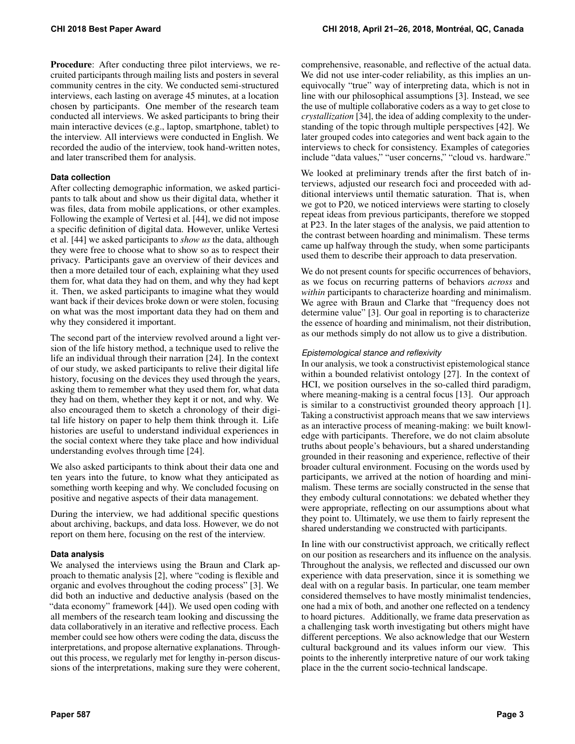Procedure: After conducting three pilot interviews, we recruited participants through mailing lists and posters in several community centres in the city. We conducted semi-structured interviews, each lasting on average 45 minutes, at a location chosen by participants. One member of the research team conducted all interviews. We asked participants to bring their main interactive devices (e.g., laptop, smartphone, tablet) to the interview. All interviews were conducted in English. We recorded the audio of the interview, took hand-written notes, and later transcribed them for analysis.

## **Data collection**

After collecting demographic information, we asked participants to talk about and show us their digital data, whether it was files, data from mobile applications, or other examples. Following the example of Vertesi et al. [\[44\]](#page-11-2), we did not impose a specific definition of digital data. However, unlike Vertesi et al. [\[44\]](#page-11-2) we asked participants to *show us* the data, although they were free to choose what to show so as to respect their privacy. Participants gave an overview of their devices and then a more detailed tour of each, explaining what they used them for, what data they had on them, and why they had kept it. Then, we asked participants to imagine what they would want back if their devices broke down or were stolen, focusing on what was the most important data they had on them and why they considered it important.

The second part of the interview revolved around a light version of the life history method, a technique used to relive the life an individual through their narration [\[24\]](#page-10-12). In the context of our study, we asked participants to relive their digital life history, focusing on the devices they used through the years, asking them to remember what they used them for, what data they had on them, whether they kept it or not, and why. We also encouraged them to sketch a chronology of their digital life history on paper to help them think through it. Life histories are useful to understand individual experiences in the social context where they take place and how individual understanding evolves through time [\[24\]](#page-10-12).

We also asked participants to think about their data one and ten years into the future, to know what they anticipated as something worth keeping and why. We concluded focusing on positive and negative aspects of their data management.

During the interview, we had additional specific questions about archiving, backups, and data loss. However, we do not report on them here, focusing on the rest of the interview.

#### **Data analysis**

We analysed the interviews using the Braun and Clark approach to thematic analysis [\[2\]](#page-9-7), where "coding is flexible and organic and evolves throughout the coding process" [\[3\]](#page-9-8). We did both an inductive and deductive analysis (based on the "data economy" framework [\[44\]](#page-11-2)). We used open coding with all members of the research team looking and discussing the data collaboratively in an iterative and reflective process. Each member could see how others were coding the data, discuss the interpretations, and propose alternative explanations. Throughout this process, we regularly met for lengthy in-person discussions of the interpretations, making sure they were coherent,

comprehensive, reasonable, and reflective of the actual data. We did not use inter-coder reliability, as this implies an unequivocally "true" way of interpreting data, which is not in line with our philosophical assumptions [\[3\]](#page-9-8). Instead, we see the use of multiple collaborative coders as a way to get close to *crystallization* [\[34\]](#page-10-13), the idea of adding complexity to the understanding of the topic through multiple perspectives [\[42\]](#page-11-7). We later grouped codes into categories and went back again to the interviews to check for consistency. Examples of categories include "data values," "user concerns," "cloud vs. hardware."

We looked at preliminary trends after the first batch of interviews, adjusted our research foci and proceeded with additional interviews until thematic saturation. That is, when we got to P20, we noticed interviews were starting to closely repeat ideas from previous participants, therefore we stopped at P23. In the later stages of the analysis, we paid attention to the contrast between hoarding and minimalism. These terms came up halfway through the study, when some participants used them to describe their approach to data preservation.

We do not present counts for specific occurrences of behaviors, as we focus on recurring patterns of behaviors *across* and *within* participants to characterize hoarding and minimalism. We agree with Braun and Clarke that "frequency does not determine value" [\[3\]](#page-9-8). Our goal in reporting is to characterize the essence of hoarding and minimalism, not their distribution, as our methods simply do not allow us to give a distribution.

#### *Epistemological stance and reflexivity*

In our analysis, we took a constructivist epistemological stance within a bounded relativist ontology [\[27\]](#page-10-14). In the context of HCI, we position ourselves in the so-called third paradigm, where meaning-making is a central focus [\[13\]](#page-10-15). Our approach is similar to a constructivist grounded theory approach [\[1\]](#page-9-9). Taking a constructivist approach means that we saw interviews as an interactive process of meaning-making: we built knowledge with participants. Therefore, we do not claim absolute truths about people's behaviours, but a shared understanding grounded in their reasoning and experience, reflective of their broader cultural environment. Focusing on the words used by participants, we arrived at the notion of hoarding and minimalism. These terms are socially constructed in the sense that they embody cultural connotations: we debated whether they were appropriate, reflecting on our assumptions about what they point to. Ultimately, we use them to fairly represent the shared understanding we constructed with participants.

In line with our constructivist approach, we critically reflect on our position as researchers and its influence on the analysis. Throughout the analysis, we reflected and discussed our own experience with data preservation, since it is something we deal with on a regular basis. In particular, one team member considered themselves to have mostly minimalist tendencies, one had a mix of both, and another one reflected on a tendency to hoard pictures. Additionally, we frame data preservation as a challenging task worth investigating but others might have different perceptions. We also acknowledge that our Western cultural background and its values inform our view. This points to the inherently interpretive nature of our work taking place in the the current socio-technical landscape.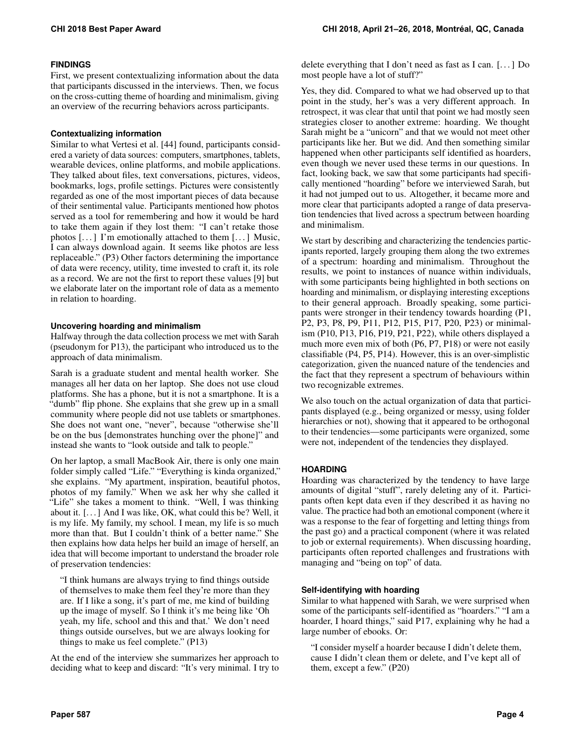## **FINDINGS**

First, we present contextualizing information about the data that participants discussed in the interviews. Then, we focus on the cross-cutting theme of hoarding and minimalism, giving an overview of the recurring behaviors across participants.

## **Contextualizing information**

Similar to what Vertesi et al. [\[44\]](#page-11-2) found, participants considered a variety of data sources: computers, smartphones, tablets, wearable devices, online platforms, and mobile applications. They talked about files, text conversations, pictures, videos, bookmarks, logs, profile settings. Pictures were consistently regarded as one of the most important pieces of data because of their sentimental value. Participants mentioned how photos served as a tool for remembering and how it would be hard to take them again if they lost them: "I can't retake those photos  $[...]$  I'm emotionally attached to them  $[...]$  Music, I can always download again. It seems like photos are less replaceable." (P3) Other factors determining the importance of data were recency, utility, time invested to craft it, its role as a record. We are not the first to report these values [\[9\]](#page-9-4) but we elaborate later on the important role of data as a memento in relation to hoarding.

## **Uncovering hoarding and minimalism**

Halfway through the data collection process we met with Sarah (pseudonym for P13), the participant who introduced us to the approach of data minimalism.

Sarah is a graduate student and mental health worker. She manages all her data on her laptop. She does not use cloud platforms. She has a phone, but it is not a smartphone. It is a "dumb" flip phone. She explains that she grew up in a small community where people did not use tablets or smartphones. She does not want one, "never", because "otherwise she'll be on the bus [demonstrates hunching over the phone]" and instead she wants to "look outside and talk to people."

On her laptop, a small MacBook Air, there is only one main folder simply called "Life." "Everything is kinda organized," she explains. "My apartment, inspiration, beautiful photos, photos of my family." When we ask her why she called it "Life" she takes a moment to think. "Well, I was thinking about it. [. . . ] And I was like, OK, what could this be? Well, it is my life. My family, my school. I mean, my life is so much more than that. But I couldn't think of a better name." She then explains how data helps her build an image of herself, an idea that will become important to understand the broader role of preservation tendencies:

"I think humans are always trying to find things outside of themselves to make them feel they're more than they are. If I like a song, it's part of me, me kind of building up the image of myself. So I think it's me being like 'Oh yeah, my life, school and this and that.' We don't need things outside ourselves, but we are always looking for things to make us feel complete." (P13)

At the end of the interview she summarizes her approach to deciding what to keep and discard: "It's very minimal. I try to delete everything that I don't need as fast as I can. [. . . ] Do most people have a lot of stuff?"

Yes, they did. Compared to what we had observed up to that point in the study, her's was a very different approach. In retrospect, it was clear that until that point we had mostly seen strategies closer to another extreme: hoarding. We thought Sarah might be a "unicorn" and that we would not meet other participants like her. But we did. And then something similar happened when other participants self identified as hoarders, even though we never used these terms in our questions. In fact, looking back, we saw that some participants had specifically mentioned "hoarding" before we interviewed Sarah, but it had not jumped out to us. Altogether, it became more and more clear that participants adopted a range of data preservation tendencies that lived across a spectrum between hoarding and minimalism.

We start by describing and characterizing the tendencies participants reported, largely grouping them along the two extremes of a spectrum: hoarding and minimalism. Throughout the results, we point to instances of nuance within individuals, with some participants being highlighted in both sections on hoarding and minimalism, or displaying interesting exceptions to their general approach. Broadly speaking, some participants were stronger in their tendency towards hoarding (P1, P2, P3, P8, P9, P11, P12, P15, P17, P20, P23) or minimalism (P10, P13, P16, P19, P21, P22), while others displayed a much more even mix of both (P6, P7, P18) or were not easily classifiable (P4, P5, P14). However, this is an over-simplistic categorization, given the nuanced nature of the tendencies and the fact that they represent a spectrum of behaviours within two recognizable extremes.

We also touch on the actual organization of data that participants displayed (e.g., being organized or messy, using folder hierarchies or not), showing that it appeared to be orthogonal to their tendencies—some participants were organized, some were not, independent of the tendencies they displayed.

## **HOARDING**

Hoarding was characterized by the tendency to have large amounts of digital "stuff", rarely deleting any of it. Participants often kept data even if they described it as having no value. The practice had both an emotional component (where it was a response to the fear of forgetting and letting things from the past go) and a practical component (where it was related to job or external requirements). When discussing hoarding, participants often reported challenges and frustrations with managing and "being on top" of data.

## **Self-identifying with hoarding**

Similar to what happened with Sarah, we were surprised when some of the participants self-identified as "hoarders." "I am a hoarder, I hoard things," said P17, explaining why he had a large number of ebooks. Or:

"I consider myself a hoarder because I didn't delete them, cause I didn't clean them or delete, and I've kept all of them, except a few." (P20)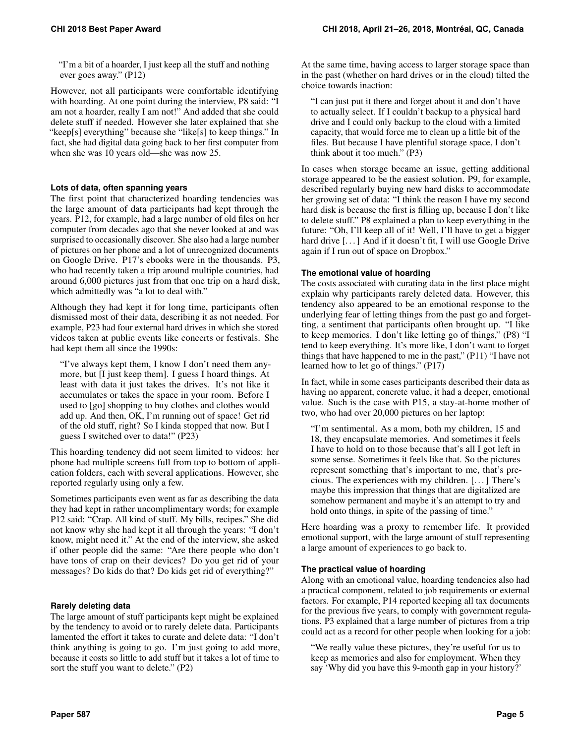"I'm a bit of a hoarder, I just keep all the stuff and nothing ever goes away." (P12)

However, not all participants were comfortable identifying with hoarding. At one point during the interview, P8 said: "I am not a hoarder, really I am not!" And added that she could delete stuff if needed. However she later explained that she "keep[s] everything" because she "like[s] to keep things." In fact, she had digital data going back to her first computer from when she was 10 years old—she was now 25.

#### **Lots of data, often spanning years**

The first point that characterized hoarding tendencies was the large amount of data participants had kept through the years. P12, for example, had a large number of old files on her computer from decades ago that she never looked at and was surprised to occasionally discover. She also had a large number of pictures on her phone and a lot of unrecognized documents on Google Drive. P17's ebooks were in the thousands. P3, who had recently taken a trip around multiple countries, had around 6,000 pictures just from that one trip on a hard disk, which admittedly was "a lot to deal with."

Although they had kept it for long time, participants often dismissed most of their data, describing it as not needed. For example, P23 had four external hard drives in which she stored videos taken at public events like concerts or festivals. She had kept them all since the 1990s:

"I've always kept them, I know I don't need them anymore, but [I just keep them]. I guess I hoard things. At least with data it just takes the drives. It's not like it accumulates or takes the space in your room. Before I used to [go] shopping to buy clothes and clothes would add up. And then, OK, I'm running out of space! Get rid of the old stuff, right? So I kinda stopped that now. But I guess I switched over to data!" (P23)

This hoarding tendency did not seem limited to videos: her phone had multiple screens full from top to bottom of application folders, each with several applications. However, she reported regularly using only a few.

Sometimes participants even went as far as describing the data they had kept in rather uncomplimentary words; for example P12 said: "Crap. All kind of stuff. My bills, recipes." She did not know why she had kept it all through the years: "I don't know, might need it." At the end of the interview, she asked if other people did the same: "Are there people who don't have tons of crap on their devices? Do you get rid of your messages? Do kids do that? Do kids get rid of everything?"

#### **Rarely deleting data**

The large amount of stuff participants kept might be explained by the tendency to avoid or to rarely delete data. Participants lamented the effort it takes to curate and delete data: "I don't think anything is going to go. I'm just going to add more, because it costs so little to add stuff but it takes a lot of time to sort the stuff you want to delete." (P2)

At the same time, having access to larger storage space than in the past (whether on hard drives or in the cloud) tilted the choice towards inaction:

"I can just put it there and forget about it and don't have to actually select. If I couldn't backup to a physical hard drive and I could only backup to the cloud with a limited capacity, that would force me to clean up a little bit of the files. But because I have plentiful storage space, I don't think about it too much." (P3)

In cases when storage became an issue, getting additional storage appeared to be the easiest solution. P9, for example, described regularly buying new hard disks to accommodate her growing set of data: "I think the reason I have my second hard disk is because the first is filling up, because I don't like to delete stuff." P8 explained a plan to keep everything in the future: "Oh, I'll keep all of it! Well, I'll have to get a bigger hard drive [...] And if it doesn't fit, I will use Google Drive again if I run out of space on Dropbox."

#### **The emotional value of hoarding**

The costs associated with curating data in the first place might explain why participants rarely deleted data. However, this tendency also appeared to be an emotional response to the underlying fear of letting things from the past go and forgetting, a sentiment that participants often brought up. "I like to keep memories. I don't like letting go of things," (P8) "I tend to keep everything. It's more like, I don't want to forget things that have happened to me in the past," (P11) "I have not learned how to let go of things." (P17)

In fact, while in some cases participants described their data as having no apparent, concrete value, it had a deeper, emotional value. Such is the case with P15, a stay-at-home mother of two, who had over 20,000 pictures on her laptop:

"I'm sentimental. As a mom, both my children, 15 and 18, they encapsulate memories. And sometimes it feels I have to hold on to those because that's all I got left in some sense. Sometimes it feels like that. So the pictures represent something that's important to me, that's precious. The experiences with my children. [. . . ] There's maybe this impression that things that are digitalized are somehow permanent and maybe it's an attempt to try and hold onto things, in spite of the passing of time."

Here hoarding was a proxy to remember life. It provided emotional support, with the large amount of stuff representing a large amount of experiences to go back to.

#### **The practical value of hoarding**

Along with an emotional value, hoarding tendencies also had a practical component, related to job requirements or external factors. For example, P14 reported keeping all tax documents for the previous five years, to comply with government regulations. P3 explained that a large number of pictures from a trip could act as a record for other people when looking for a job:

"We really value these pictures, they're useful for us to keep as memories and also for employment. When they say 'Why did you have this 9-month gap in your history?'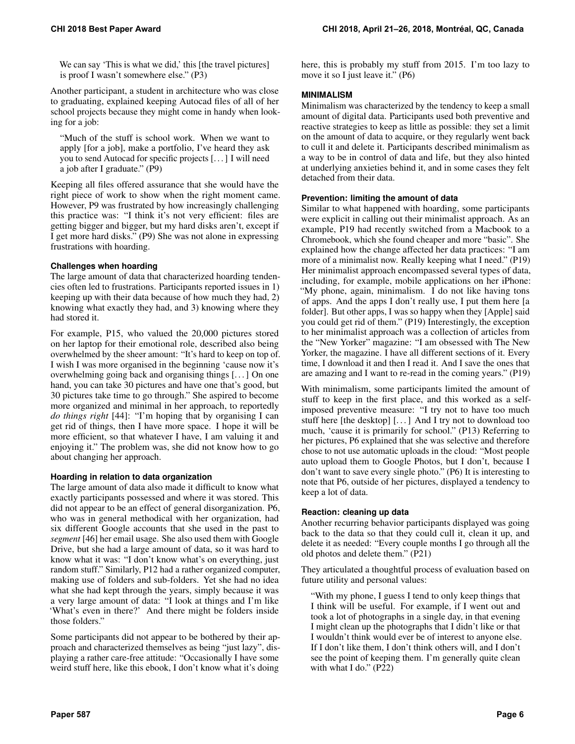We can say 'This is what we did,' this [the travel pictures] is proof I wasn't somewhere else." (P3)

Another participant, a student in architecture who was close to graduating, explained keeping Autocad files of all of her school projects because they might come in handy when looking for a job:

"Much of the stuff is school work. When we want to apply [for a job], make a portfolio, I've heard they ask you to send Autocad for specific projects [. . . ] I will need a job after I graduate." (P9)

Keeping all files offered assurance that she would have the right piece of work to show when the right moment came. However, P9 was frustrated by how increasingly challenging this practice was: "I think it's not very efficient: files are getting bigger and bigger, but my hard disks aren't, except if I get more hard disks." (P9) She was not alone in expressing frustrations with hoarding.

## **Challenges when hoarding**

The large amount of data that characterized hoarding tendencies often led to frustrations. Participants reported issues in 1) keeping up with their data because of how much they had, 2) knowing what exactly they had, and 3) knowing where they had stored it.

For example, P15, who valued the 20,000 pictures stored on her laptop for their emotional role, described also being overwhelmed by the sheer amount: "It's hard to keep on top of. I wish I was more organised in the beginning 'cause now it's overwhelming going back and organising things [. . . ] On one hand, you can take 30 pictures and have one that's good, but 30 pictures take time to go through." She aspired to become more organized and minimal in her approach, to reportedly *do things right* [\[44\]](#page-11-2): "I'm hoping that by organising I can get rid of things, then I have more space. I hope it will be more efficient, so that whatever I have, I am valuing it and enjoying it." The problem was, she did not know how to go about changing her approach.

#### **Hoarding in relation to data organization**

The large amount of data also made it difficult to know what exactly participants possessed and where it was stored. This did not appear to be an effect of general disorganization. P6, who was in general methodical with her organization, had six different Google accounts that she used in the past to *segment* [\[46\]](#page-11-8) her email usage. She also used them with Google Drive, but she had a large amount of data, so it was hard to know what it was: "I don't know what's on everything, just random stuff." Similarly, P12 had a rather organized computer, making use of folders and sub-folders. Yet she had no idea what she had kept through the years, simply because it was a very large amount of data: "I look at things and I'm like 'What's even in there?' And there might be folders inside those folders."

Some participants did not appear to be bothered by their approach and characterized themselves as being "just lazy", displaying a rather care-free attitude: "Occasionally I have some weird stuff here, like this ebook, I don't know what it's doing

here, this is probably my stuff from 2015. I'm too lazy to move it so I just leave it." (P6)

## **MINIMALISM**

Minimalism was characterized by the tendency to keep a small amount of digital data. Participants used both preventive and reactive strategies to keep as little as possible: they set a limit on the amount of data to acquire, or they regularly went back to cull it and delete it. Participants described minimalism as a way to be in control of data and life, but they also hinted at underlying anxieties behind it, and in some cases they felt detached from their data.

## **Prevention: limiting the amount of data**

Similar to what happened with hoarding, some participants were explicit in calling out their minimalist approach. As an example, P19 had recently switched from a Macbook to a Chromebook, which she found cheaper and more "basic". She explained how the change affected her data practices: "I am more of a minimalist now. Really keeping what I need." (P19) Her minimalist approach encompassed several types of data, including, for example, mobile applications on her iPhone: "My phone, again, minimalism. I do not like having tons of apps. And the apps I don't really use, I put them here [a folder]. But other apps, I was so happy when they [Apple] said you could get rid of them." (P19) Interestingly, the exception to her minimalist approach was a collection of articles from the "New Yorker" magazine: "I am obsessed with The New Yorker, the magazine. I have all different sections of it. Every time, I download it and then I read it. And I save the ones that are amazing and I want to re-read in the coming years." (P19)

With minimalism, some participants limited the amount of stuff to keep in the first place, and this worked as a selfimposed preventive measure: "I try not to have too much stuff here [the desktop] [. . . ] And I try not to download too much, 'cause it is primarily for school." (P13) Referring to her pictures, P6 explained that she was selective and therefore chose to not use automatic uploads in the cloud: "Most people auto upload them to Google Photos, but I don't, because I don't want to save every single photo." (P6) It is interesting to note that P6, outside of her pictures, displayed a tendency to keep a lot of data.

## **Reaction: cleaning up data**

Another recurring behavior participants displayed was going back to the data so that they could cull it, clean it up, and delete it as needed: "Every couple months I go through all the old photos and delete them." (P21)

They articulated a thoughtful process of evaluation based on future utility and personal values:

"With my phone, I guess I tend to only keep things that I think will be useful. For example, if I went out and took a lot of photographs in a single day, in that evening I might clean up the photographs that I didn't like or that I wouldn't think would ever be of interest to anyone else. If I don't like them, I don't think others will, and I don't see the point of keeping them. I'm generally quite clean with what I do." (P22)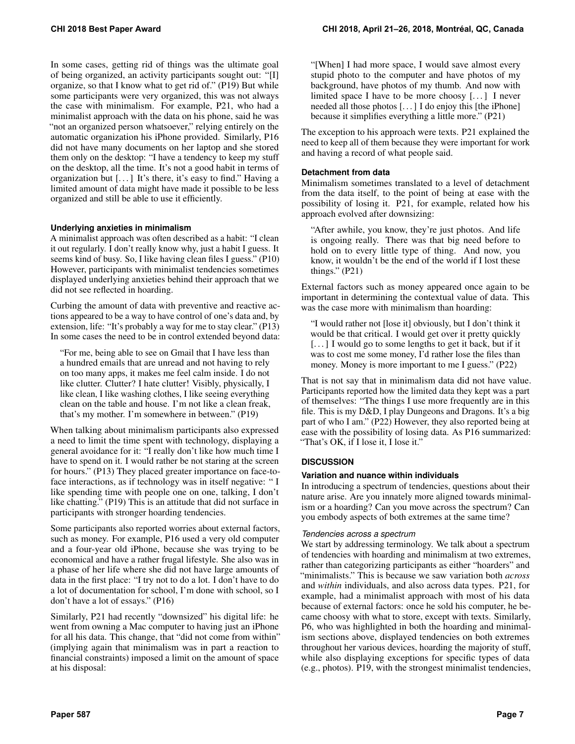**CHI 2018 Best Paper Award CHI 2018, April 21–26, 2018, Montréal, QC, Canada**

In some cases, getting rid of things was the ultimate goal of being organized, an activity participants sought out: "[I] organize, so that I know what to get rid of." (P19) But while some participants were very organized, this was not always the case with minimalism. For example, P21, who had a minimalist approach with the data on his phone, said he was "not an organized person whatsoever," relying entirely on the automatic organization his iPhone provided. Similarly, P16 did not have many documents on her laptop and she stored them only on the desktop: "I have a tendency to keep my stuff on the desktop, all the time. It's not a good habit in terms of organization but [. . . ] It's there, it's easy to find." Having a limited amount of data might have made it possible to be less organized and still be able to use it efficiently.

## **Underlying anxieties in minimalism**

A minimalist approach was often described as a habit: "I clean it out regularly. I don't really know why, just a habit I guess. It seems kind of busy. So, I like having clean files I guess." (P10) However, participants with minimalist tendencies sometimes displayed underlying anxieties behind their approach that we did not see reflected in hoarding.

Curbing the amount of data with preventive and reactive actions appeared to be a way to have control of one's data and, by extension, life: "It's probably a way for me to stay clear." (P13) In some cases the need to be in control extended beyond data:

"For me, being able to see on Gmail that I have less than a hundred emails that are unread and not having to rely on too many apps, it makes me feel calm inside. I do not like clutter. Clutter? I hate clutter! Visibly, physically, I like clean, I like washing clothes, I like seeing everything clean on the table and house. I'm not like a clean freak, that's my mother. I'm somewhere in between." (P19)

When talking about minimalism participants also expressed a need to limit the time spent with technology, displaying a general avoidance for it: "I really don't like how much time I have to spend on it. I would rather be not staring at the screen for hours." (P13) They placed greater importance on face-toface interactions, as if technology was in itself negative: " I like spending time with people one on one, talking, I don't like chatting." (P19) This is an attitude that did not surface in participants with stronger hoarding tendencies.

Some participants also reported worries about external factors, such as money. For example, P16 used a very old computer and a four-year old iPhone, because she was trying to be economical and have a rather frugal lifestyle. She also was in a phase of her life where she did not have large amounts of data in the first place: "I try not to do a lot. I don't have to do a lot of documentation for school, I'm done with school, so I don't have a lot of essays." (P16)

Similarly, P21 had recently "downsized" his digital life: he went from owning a Mac computer to having just an iPhone for all his data. This change, that "did not come from within" (implying again that minimalism was in part a reaction to financial constraints) imposed a limit on the amount of space at his disposal:

"[When] I had more space, I would save almost every stupid photo to the computer and have photos of my background, have photos of my thumb. And now with limited space I have to be more choosy [. . . ] I never needed all those photos [. . . ] I do enjoy this [the iPhone] because it simplifies everything a little more." (P21)

The exception to his approach were texts. P21 explained the need to keep all of them because they were important for work and having a record of what people said.

## **Detachment from data**

Minimalism sometimes translated to a level of detachment from the data itself, to the point of being at ease with the possibility of losing it. P21, for example, related how his approach evolved after downsizing:

"After awhile, you know, they're just photos. And life is ongoing really. There was that big need before to hold on to every little type of thing. And now, you know, it wouldn't be the end of the world if I lost these things." (P21)

External factors such as money appeared once again to be important in determining the contextual value of data. This was the case more with minimalism than hoarding:

"I would rather not [lose it] obviously, but I don't think it would be that critical. I would get over it pretty quickly [...] I would go to some lengths to get it back, but if it was to cost me some money, I'd rather lose the files than money. Money is more important to me I guess." (P22)

That is not say that in minimalism data did not have value. Participants reported how the limited data they kept was a part of themselves: "The things I use more frequently are in this file. This is my D&D, I play Dungeons and Dragons. It's a big part of who I am." (P22) However, they also reported being at ease with the possibility of losing data. As P16 summarized: "That's OK, if I lose it, I lose it."

# **DISCUSSION**

## **Variation and nuance within individuals**

In introducing a spectrum of tendencies, questions about their nature arise. Are you innately more aligned towards minimalism or a hoarding? Can you move across the spectrum? Can you embody aspects of both extremes at the same time?

## *Tendencies across a spectrum*

We start by addressing terminology. We talk about a spectrum of tendencies with hoarding and minimalism at two extremes, rather than categorizing participants as either "hoarders" and "minimalists." This is because we saw variation both *across* and *within* individuals, and also across data types. P21, for example, had a minimalist approach with most of his data because of external factors: once he sold his computer, he became choosy with what to store, except with texts. Similarly, P6, who was highlighted in both the hoarding and minimalism sections above, displayed tendencies on both extremes throughout her various devices, hoarding the majority of stuff, while also displaying exceptions for specific types of data (e.g., photos). P19, with the strongest minimalist tendencies,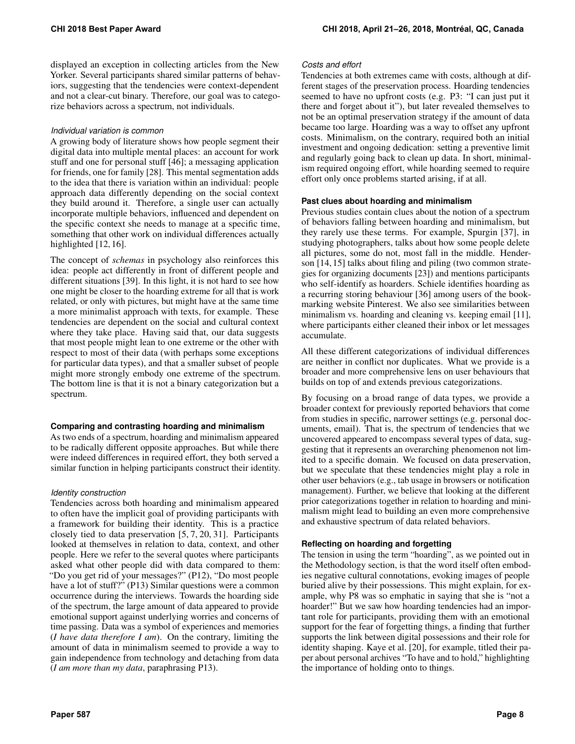displayed an exception in collecting articles from the New Yorker. Several participants shared similar patterns of behaviors, suggesting that the tendencies were context-dependent and not a clear-cut binary. Therefore, our goal was to categorize behaviors across a spectrum, not individuals.

#### *Individual variation is common*

A growing body of literature shows how people segment their digital data into multiple mental places: an account for work stuff and one for personal stuff [\[46\]](#page-11-8); a messaging application for friends, one for family [\[28\]](#page-10-16). This mental segmentation adds to the idea that there is variation within an individual: people approach data differently depending on the social context they build around it. Therefore, a single user can actually incorporate multiple behaviors, influenced and dependent on the specific context she needs to manage at a specific time, something that other work on individual differences actually highlighted [\[12,](#page-10-17) [16\]](#page-10-18).

The concept of *schemas* in psychology also reinforces this idea: people act differently in front of different people and different situations [\[39\]](#page-11-9). In this light, it is not hard to see how one might be closer to the hoarding extreme for all that is work related, or only with pictures, but might have at the same time a more minimalist approach with texts, for example. These tendencies are dependent on the social and cultural context where they take place. Having said that, our data suggests that most people might lean to one extreme or the other with respect to most of their data (with perhaps some exceptions for particular data types), and that a smaller subset of people might more strongly embody one extreme of the spectrum. The bottom line is that it is not a binary categorization but a spectrum.

## **Comparing and contrasting hoarding and minimalism**

As two ends of a spectrum, hoarding and minimalism appeared to be radically different opposite approaches. But while there were indeed differences in required effort, they both served a similar function in helping participants construct their identity.

#### *Identity construction*

Tendencies across both hoarding and minimalism appeared to often have the implicit goal of providing participants with a framework for building their identity. This is a practice closely tied to data preservation [\[5,](#page-9-1) [7,](#page-9-2) [20,](#page-10-4) [31\]](#page-10-7). Participants looked at themselves in relation to data, context, and other people. Here we refer to the several quotes where participants asked what other people did with data compared to them: "Do you get rid of your messages?" (P12), "Do most people have a lot of stuff?" (P13) Similar questions were a common occurrence during the interviews. Towards the hoarding side of the spectrum, the large amount of data appeared to provide emotional support against underlying worries and concerns of time passing. Data was a symbol of experiences and memories (*I have data therefore I am*). On the contrary, limiting the amount of data in minimalism seemed to provide a way to gain independence from technology and detaching from data (*I am more than my data*, paraphrasing P13).

## *Costs and effort*

Tendencies at both extremes came with costs, although at different stages of the preservation process. Hoarding tendencies seemed to have no upfront costs (e.g. P3: "I can just put it there and forget about it"), but later revealed themselves to not be an optimal preservation strategy if the amount of data became too large. Hoarding was a way to offset any upfront costs. Minimalism, on the contrary, required both an initial investment and ongoing dedication: setting a preventive limit and regularly going back to clean up data. In short, minimalism required ongoing effort, while hoarding seemed to require effort only once problems started arising, if at all.

## **Past clues about hoarding and minimalism**

Previous studies contain clues about the notion of a spectrum of behaviors falling between hoarding and minimalism, but they rarely use these terms. For example, Spurgin [\[37\]](#page-11-4), in studying photographers, talks about how some people delete all pictures, some do not, most fall in the middle. Henderson [\[14,](#page-10-10) [15\]](#page-10-11) talks about filing and piling (two common strategies for organizing documents [\[23\]](#page-10-5)) and mentions participants who self-identify as hoarders. Schiele identifies hoarding as a recurring storing behaviour [\[36\]](#page-11-6) among users of the bookmarking website Pinterest. We also see similarities between minimalism vs. hoarding and cleaning vs. keeping email [\[11\]](#page-9-0), where participants either cleaned their inbox or let messages accumulate.

All these different categorizations of individual differences are neither in conflict nor duplicates. What we provide is a broader and more comprehensive lens on user behaviours that builds on top of and extends previous categorizations.

By focusing on a broad range of data types, we provide a broader context for previously reported behaviors that come from studies in specific, narrower settings (e.g. personal documents, email). That is, the spectrum of tendencies that we uncovered appeared to encompass several types of data, suggesting that it represents an overarching phenomenon not limited to a specific domain. We focused on data preservation, but we speculate that these tendencies might play a role in other user behaviors (e.g., tab usage in browsers or notification management). Further, we believe that looking at the different prior categorizations together in relation to hoarding and minimalism might lead to building an even more comprehensive and exhaustive spectrum of data related behaviors.

## **Reflecting on hoarding and forgetting**

The tension in using the term "hoarding", as we pointed out in the Methodology section, is that the word itself often embodies negative cultural connotations, evoking images of people buried alive by their possessions. This might explain, for example, why P8 was so emphatic in saying that she is "not a hoarder!" But we saw how hoarding tendencies had an important role for participants, providing them with an emotional support for the fear of forgetting things, a finding that further supports the link between digital possessions and their role for identity shaping. Kaye et al. [\[20\]](#page-10-4), for example, titled their paper about personal archives "To have and to hold," highlighting the importance of holding onto to things.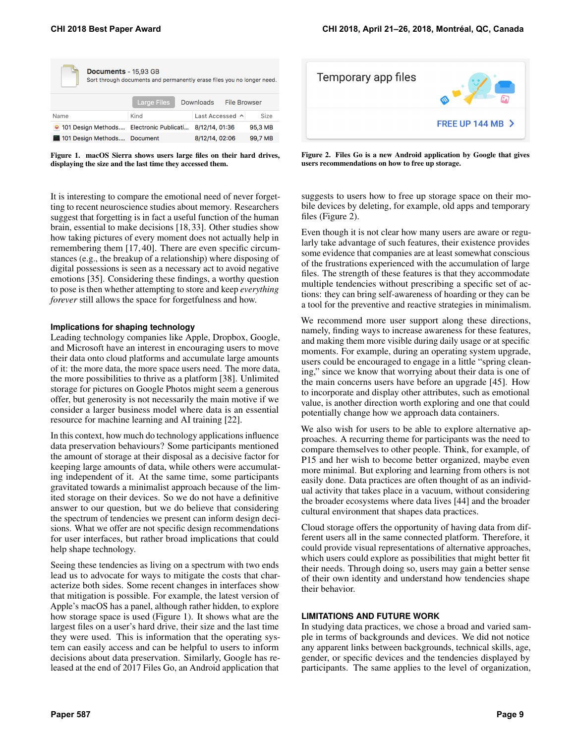<span id="page-8-0"></span>

| Documents - 15,93 GB<br>Sort through documents and permanently erase files you no longer need. |      |                 |         |
|------------------------------------------------------------------------------------------------|------|-----------------|---------|
| <b>Large Files</b><br>Downloads<br><b>File Browser</b>                                         |      |                 |         |
| Name                                                                                           | Kind | Last Accessed ^ | Size    |
| 101 Design Methods Electronic Publicati                                                        |      | 8/12/14, 01:36  | 95,3 MB |
| 101 Design Methods Document                                                                    |      | 8/12/14, 02:06  | 99,7 MB |

Figure 1. macOS Sierra shows users large files on their hard drives, displaying the size and the last time they accessed them.

It is interesting to compare the emotional need of never forgetting to recent neuroscience studies about memory. Researchers suggest that forgetting is in fact a useful function of the human brain, essential to make decisions [\[18,](#page-10-19) [33\]](#page-10-20). Other studies show how taking pictures of every moment does not actually help in remembering them [\[17,](#page-10-21) [40\]](#page-11-10). There are even specific circumstances (e.g., the breakup of a relationship) where disposing of digital possessions is seen as a necessary act to avoid negative emotions [\[35\]](#page-11-11). Considering these findings, a worthy question to pose is then whether attempting to store and keep *everything forever* still allows the space for forgetfulness and how.

#### **Implications for shaping technology**

Leading technology companies like Apple, Dropbox, Google, and Microsoft have an interest in encouraging users to move their data onto cloud platforms and accumulate large amounts of it: the more data, the more space users need. The more data, the more possibilities to thrive as a platform [\[38\]](#page-11-1). Unlimited storage for pictures on Google Photos might seem a generous offer, but generosity is not necessarily the main motive if we consider a larger business model where data is an essential resource for machine learning and AI training [\[22\]](#page-10-22).

In this context, how much do technology applications influence data preservation behaviours? Some participants mentioned the amount of storage at their disposal as a decisive factor for keeping large amounts of data, while others were accumulating independent of it. At the same time, some participants gravitated towards a minimalist approach because of the limited storage on their devices. So we do not have a definitive answer to our question, but we do believe that considering the spectrum of tendencies we present can inform design decisions. What we offer are not specific design recommendations for user interfaces, but rather broad implications that could help shape technology.

Seeing these tendencies as living on a spectrum with two ends lead us to advocate for ways to mitigate the costs that characterize both sides. Some recent changes in interfaces show that mitigation is possible. For example, the latest version of Apple's macOS has a panel, although rather hidden, to explore how storage space is used (Figure [1\)](#page-8-0). It shows what are the largest files on a user's hard drive, their size and the last time they were used. This is information that the operating system can easily access and can be helpful to users to inform decisions about data preservation. Similarly, Google has released at the end of 2017 Files Go, an Android application that

<span id="page-8-1"></span>

Figure 2. Files Go is a new Android application by Google that gives users recommendations on how to free up storage.

suggests to users how to free up storage space on their mobile devices by deleting, for example, old apps and temporary files (Figure [2\)](#page-8-1).

Even though it is not clear how many users are aware or regularly take advantage of such features, their existence provides some evidence that companies are at least somewhat conscious of the frustrations experienced with the accumulation of large files. The strength of these features is that they accommodate multiple tendencies without prescribing a specific set of actions: they can bring self-awareness of hoarding or they can be a tool for the preventive and reactive strategies in minimalism.

We recommend more user support along these directions, namely, finding ways to increase awareness for these features, and making them more visible during daily usage or at specific moments. For example, during an operating system upgrade, users could be encouraged to engage in a little "spring cleaning," since we know that worrying about their data is one of the main concerns users have before an upgrade [\[45\]](#page-11-12). How to incorporate and display other attributes, such as emotional value, is another direction worth exploring and one that could potentially change how we approach data containers.

We also wish for users to be able to explore alternative approaches. A recurring theme for participants was the need to compare themselves to other people. Think, for example, of P15 and her wish to become better organized, maybe even more minimal. But exploring and learning from others is not easily done. Data practices are often thought of as an individual activity that takes place in a vacuum, without considering the broader ecosystems where data lives [\[44\]](#page-11-2) and the broader cultural environment that shapes data practices.

Cloud storage offers the opportunity of having data from different users all in the same connected platform. Therefore, it could provide visual representations of alternative approaches, which users could explore as possibilities that might better fit their needs. Through doing so, users may gain a better sense of their own identity and understand how tendencies shape their behavior.

#### **LIMITATIONS AND FUTURE WORK**

In studying data practices, we chose a broad and varied sample in terms of backgrounds and devices. We did not notice any apparent links between backgrounds, technical skills, age, gender, or specific devices and the tendencies displayed by participants. The same applies to the level of organization,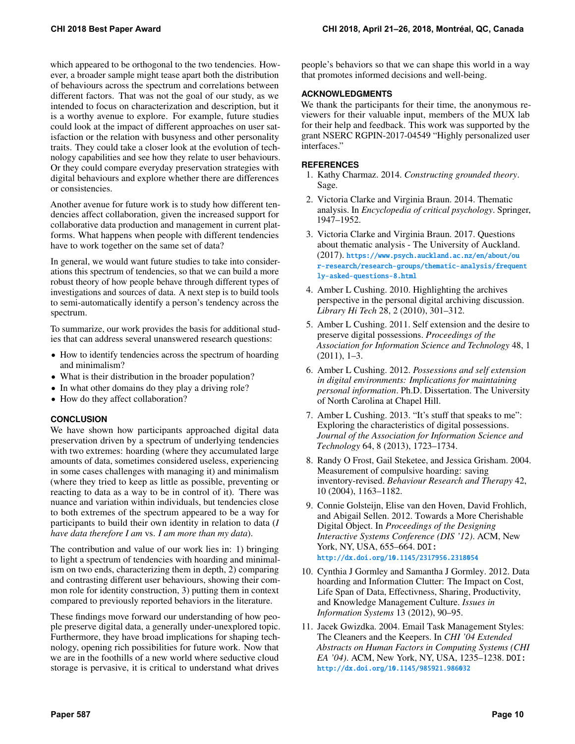which appeared to be orthogonal to the two tendencies. However, a broader sample might tease apart both the distribution of behaviours across the spectrum and correlations between different factors. That was not the goal of our study, as we intended to focus on characterization and description, but it is a worthy avenue to explore. For example, future studies could look at the impact of different approaches on user satisfaction or the relation with busyness and other personality traits. They could take a closer look at the evolution of technology capabilities and see how they relate to user behaviours. Or they could compare everyday preservation strategies with digital behaviours and explore whether there are differences or consistencies.

Another avenue for future work is to study how different tendencies affect collaboration, given the increased support for collaborative data production and management in current platforms. What happens when people with different tendencies have to work together on the same set of data?

In general, we would want future studies to take into considerations this spectrum of tendencies, so that we can build a more robust theory of how people behave through different types of investigations and sources of data. A next step is to build tools to semi-automatically identify a person's tendency across the spectrum.

To summarize, our work provides the basis for additional studies that can address several unanswered research questions:

- How to identify tendencies across the spectrum of hoarding and minimalism?
- What is their distribution in the broader population?
- In what other domains do they play a driving role?
- How do they affect collaboration?

#### **CONCLUSION**

We have shown how participants approached digital data preservation driven by a spectrum of underlying tendencies with two extremes: hoarding (where they accumulated large amounts of data, sometimes considered useless, experiencing in some cases challenges with managing it) and minimalism (where they tried to keep as little as possible, preventing or reacting to data as a way to be in control of it). There was nuance and variation within individuals, but tendencies close to both extremes of the spectrum appeared to be a way for participants to build their own identity in relation to data (*I have data therefore I am* vs. *I am more than my data*).

The contribution and value of our work lies in: 1) bringing to light a spectrum of tendencies with hoarding and minimalism on two ends, characterizing them in depth, 2) comparing and contrasting different user behaviours, showing their common role for identity construction, 3) putting them in context compared to previously reported behaviors in the literature.

These findings move forward our understanding of how people preserve digital data, a generally under-unexplored topic. Furthermore, they have broad implications for shaping technology, opening rich possibilities for future work. Now that we are in the foothills of a new world where seductive cloud storage is pervasive, it is critical to understand what drives

people's behaviors so that we can shape this world in a way that promotes informed decisions and well-being.

#### **ACKNOWLEDGMENTS**

We thank the participants for their time, the anonymous reviewers for their valuable input, members of the MUX lab for their help and feedback. This work was supported by the grant NSERC RGPIN-2017-04549 "Highly personalized user interfaces."

#### <span id="page-9-9"></span>**REFERENCES**

- 1. Kathy Charmaz. 2014. *Constructing grounded theory*. Sage.
- <span id="page-9-7"></span>2. Victoria Clarke and Virginia Braun. 2014. Thematic analysis. In *Encyclopedia of critical psychology*. Springer, 1947–1952.
- <span id="page-9-8"></span>3. Victoria Clarke and Virginia Braun. 2017. Questions about thematic analysis - The University of Auckland. (2017). [https://www.psych.auckland.ac.nz/en/about/ou](https://www.psych.auckland.ac.nz/en/about/our-research/research-groups/thematic-analysis/frequently-asked-questions-8.html) [r-research/research-groups/thematic-analysis/frequent](https://www.psych.auckland.ac.nz/en/about/our-research/research-groups/thematic-analysis/frequently-asked-questions-8.html) [ly-asked-questions-8.html](https://www.psych.auckland.ac.nz/en/about/our-research/research-groups/thematic-analysis/frequently-asked-questions-8.html)
- <span id="page-9-3"></span>4. Amber L Cushing. 2010. Highlighting the archives perspective in the personal digital archiving discussion. *Library Hi Tech* 28, 2 (2010), 301–312.
- <span id="page-9-1"></span>5. Amber L Cushing. 2011. Self extension and the desire to preserve digital possessions. *Proceedings of the Association for Information Science and Technology* 48, 1 (2011), 1–3.
- 6. Amber L Cushing. 2012. *Possessions and self extension in digital environments: Implications for maintaining personal information*. Ph.D. Dissertation. The University of North Carolina at Chapel Hill.
- <span id="page-9-2"></span>7. Amber L Cushing. 2013. "It's stuff that speaks to me": Exploring the characteristics of digital possessions. *Journal of the Association for Information Science and Technology* 64, 8 (2013), 1723–1734.
- <span id="page-9-6"></span>8. Randy O Frost, Gail Steketee, and Jessica Grisham. 2004. Measurement of compulsive hoarding: saving inventory-revised. *Behaviour Research and Therapy* 42, 10 (2004), 1163–1182.
- <span id="page-9-4"></span>9. Connie Golsteijn, Elise van den Hoven, David Frohlich, and Abigail Sellen. 2012. Towards a More Cherishable Digital Object. In *Proceedings of the Designing Interactive Systems Conference (DIS '12)*. ACM, New York, NY, USA, 655-664. DOI: <http://dx.doi.org/10.1145/2317956.2318054>
- <span id="page-9-5"></span>10. Cynthia J Gormley and Samantha J Gormley. 2012. Data hoarding and Information Clutter: The Impact on Cost, Life Span of Data, Effectivness, Sharing, Productivity, and Knowledge Management Culture. *Issues in Information Systems* 13 (2012), 90–95.
- <span id="page-9-0"></span>11. Jacek Gwizdka. 2004. Email Task Management Styles: The Cleaners and the Keepers. In *CHI '04 Extended Abstracts on Human Factors in Computing Systems (CHI EA '04)*. ACM, New York, NY, USA, 1235–1238. DOI: <http://dx.doi.org/10.1145/985921.986032>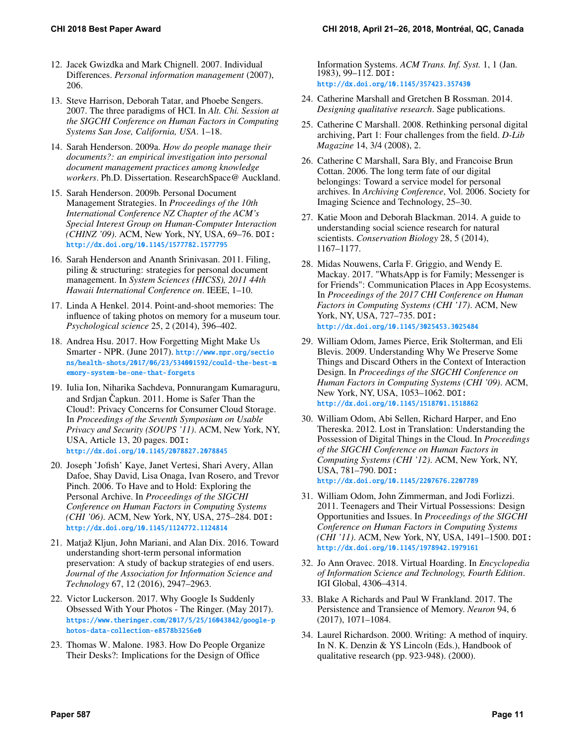- <span id="page-10-17"></span>12. Jacek Gwizdka and Mark Chignell. 2007. Individual Differences. *Personal information management* (2007), 206.
- <span id="page-10-15"></span>13. Steve Harrison, Deborah Tatar, and Phoebe Sengers. 2007. The three paradigms of HCI. In *Alt. Chi. Session at the SIGCHI Conference on Human Factors in Computing Systems San Jose, California, USA*. 1–18.
- <span id="page-10-10"></span>14. Sarah Henderson. 2009a. *How do people manage their documents?: an empirical investigation into personal document management practices among knowledge workers*. Ph.D. Dissertation. ResearchSpace@ Auckland.
- <span id="page-10-11"></span>15. Sarah Henderson. 2009b. Personal Document Management Strategies. In *Proceedings of the 10th International Conference NZ Chapter of the ACM's Special Interest Group on Human-Computer Interaction (CHINZ '09)*. ACM, New York, NY, USA, 69–76. DOI: <http://dx.doi.org/10.1145/1577782.1577795>
- <span id="page-10-18"></span>16. Sarah Henderson and Ananth Srinivasan. 2011. Filing, piling & structuring: strategies for personal document management. In *System Sciences (HICSS), 2011 44th Hawaii International Conference on*. IEEE, 1–10.
- <span id="page-10-21"></span>17. Linda A Henkel. 2014. Point-and-shoot memories: The influence of taking photos on memory for a museum tour. *Psychological science* 25, 2 (2014), 396–402.
- <span id="page-10-19"></span>18. Andrea Hsu. 2017. How Forgetting Might Make Us Smarter - NPR. (June 2017). [http://www.npr.org/sectio](http://www.npr.org/sections/health-shots/2017/06/23/534001592/could-the-best-memory-system-be-one-that-forgets) [ns/health-shots/2017/06/23/534001592/could-the-best-m](http://www.npr.org/sections/health-shots/2017/06/23/534001592/could-the-best-memory-system-be-one-that-forgets) [emory-system-be-one-that-forgets](http://www.npr.org/sections/health-shots/2017/06/23/534001592/could-the-best-memory-system-be-one-that-forgets)
- <span id="page-10-1"></span>19. Iulia Ion, Niharika Sachdeva, Ponnurangam Kumaraguru, and Srdjan Capkun. 2011. Home is Safer Than the Cloud!: Privacy Concerns for Consumer Cloud Storage. In *Proceedings of the Seventh Symposium on Usable Privacy and Security (SOUPS '11)*. ACM, New York, NY, USA, Article 13, 20 pages. DOI: <http://dx.doi.org/10.1145/2078827.2078845>
- <span id="page-10-4"></span>20. Joseph 'Jofish' Kaye, Janet Vertesi, Shari Avery, Allan Dafoe, Shay David, Lisa Onaga, Ivan Rosero, and Trevor Pinch. 2006. To Have and to Hold: Exploring the Personal Archive. In *Proceedings of the SIGCHI Conference on Human Factors in Computing Systems (CHI '06)*. ACM, New York, NY, USA, 275–284. DOI: <http://dx.doi.org/10.1145/1124772.1124814>
- <span id="page-10-6"></span>21. Matjaž Kljun, John Mariani, and Alan Dix. 2016. Toward understanding short-term personal information preservation: A study of backup strategies of end users. *Journal of the Association for Information Science and Technology* 67, 12 (2016), 2947–2963.
- <span id="page-10-22"></span>22. Victor Luckerson. 2017. Why Google Is Suddenly Obsessed With Your Photos - The Ringer. (May 2017). [https://www.theringer.com/2017/5/25/16043842/google-p](https://www.theringer.com/2017/5/25/16043842/google-photos-data-collection-e8578b3256e0) [hotos-data-collection-e8578b3256e0](https://www.theringer.com/2017/5/25/16043842/google-photos-data-collection-e8578b3256e0)
- <span id="page-10-5"></span>23. Thomas W. Malone. 1983. How Do People Organize Their Desks?: Implications for the Design of Office

Information Systems. *ACM Trans. Inf. Syst.* 1, 1 (Jan. 1983), 99–112. DOI: <http://dx.doi.org/10.1145/357423.357430>

- <span id="page-10-12"></span>24. Catherine Marshall and Gretchen B Rossman. 2014. *Designing qualitative research*. Sage publications.
- <span id="page-10-2"></span>25. Catherine C Marshall. 2008. Rethinking personal digital archiving, Part 1: Four challenges from the field. *D-Lib Magazine* 14, 3/4 (2008), 2.
- <span id="page-10-3"></span>26. Catherine C Marshall, Sara Bly, and Francoise Brun Cottan. 2006. The long term fate of our digital belongings: Toward a service model for personal archives. In *Archiving Conference*, Vol. 2006. Society for Imaging Science and Technology, 25–30.
- <span id="page-10-14"></span>27. Katie Moon and Deborah Blackman. 2014. A guide to understanding social science research for natural scientists. *Conservation Biology* 28, 5 (2014), 1167–1177.
- <span id="page-10-16"></span>28. Midas Nouwens, Carla F. Griggio, and Wendy E. Mackay. 2017. "WhatsApp is for Family; Messenger is for Friends": Communication Places in App Ecosystems. In *Proceedings of the 2017 CHI Conference on Human Factors in Computing Systems (CHI '17)*. ACM, New York, NY, USA, 727–735. DOI: <http://dx.doi.org/10.1145/3025453.3025484>
- <span id="page-10-8"></span>29. William Odom, James Pierce, Erik Stolterman, and Eli Blevis. 2009. Understanding Why We Preserve Some Things and Discard Others in the Context of Interaction Design. In *Proceedings of the SIGCHI Conference on Human Factors in Computing Systems (CHI '09)*. ACM, New York, NY, USA, 1053–1062. DOI: <http://dx.doi.org/10.1145/1518701.1518862>
- <span id="page-10-0"></span>30. William Odom, Abi Sellen, Richard Harper, and Eno Thereska. 2012. Lost in Translation: Understanding the Possession of Digital Things in the Cloud. In *Proceedings of the SIGCHI Conference on Human Factors in Computing Systems (CHI '12)*. ACM, New York, NY, USA, 781–790. DOI: <http://dx.doi.org/10.1145/2207676.2207789>
- <span id="page-10-7"></span>31. William Odom, John Zimmerman, and Jodi Forlizzi. 2011. Teenagers and Their Virtual Possessions: Design Opportunities and Issues. In *Proceedings of the SIGCHI Conference on Human Factors in Computing Systems (CHI '11)*. ACM, New York, NY, USA, 1491–1500. DOI: <http://dx.doi.org/10.1145/1978942.1979161>
- <span id="page-10-9"></span>32. Jo Ann Oravec. 2018. Virtual Hoarding. In *Encyclopedia of Information Science and Technology, Fourth Edition*. IGI Global, 4306–4314.
- <span id="page-10-20"></span>33. Blake A Richards and Paul W Frankland. 2017. The Persistence and Transience of Memory. *Neuron* 94, 6 (2017), 1071–1084.
- <span id="page-10-13"></span>34. Laurel Richardson. 2000. Writing: A method of inquiry. In N. K. Denzin & YS Lincoln (Eds.), Handbook of qualitative research (pp. 923-948). (2000).